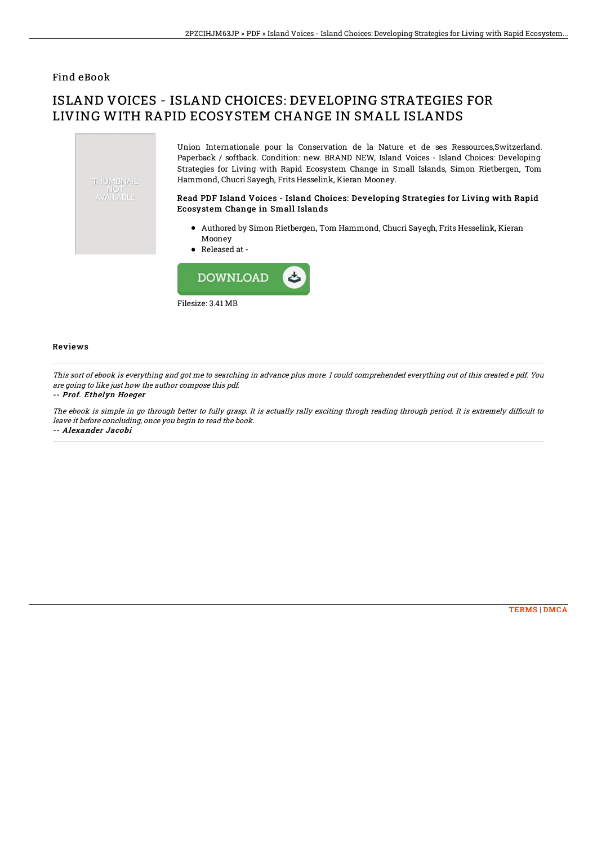### Find eBook

# ISLAND VOICES - ISLAND CHOICES: DEVELOPING STRATEGIES FOR LIVING WITH RAPID ECOSYSTEM CHANGE IN SMALL ISLANDS



Union Internationale pour la Conservation de la Nature et de ses Ressources,Switzerland. Paperback / softback. Condition: new. BRAND NEW, Island Voices - Island Choices: Developing Strategies for Living with Rapid Ecosystem Change in Small Islands, Simon Rietbergen, Tom Hammond, Chucri Sayegh, Frits Hesselink, Kieran Mooney.

#### Read PDF Island Voices - Island Choices: Developing Strategies for Living with Rapid Ecosystem Change in Small Islands

- Authored by Simon Rietbergen, Tom Hammond, Chucri Sayegh, Frits Hesselink, Kieran Mooney
- Released at -



#### Reviews

This sort of ebook is everything and got me to searching in advance plus more. I could comprehended everything out of this created <sup>e</sup> pdf. You are going to like just how the author compose this pdf.

#### -- Prof. Ethelyn Hoeger

The ebook is simple in go through better to fully grasp. It is actually rally exciting throgh reading through period. It is extremely difficult to leave it before concluding, once you begin to read the book. -- Alexander Jacobi